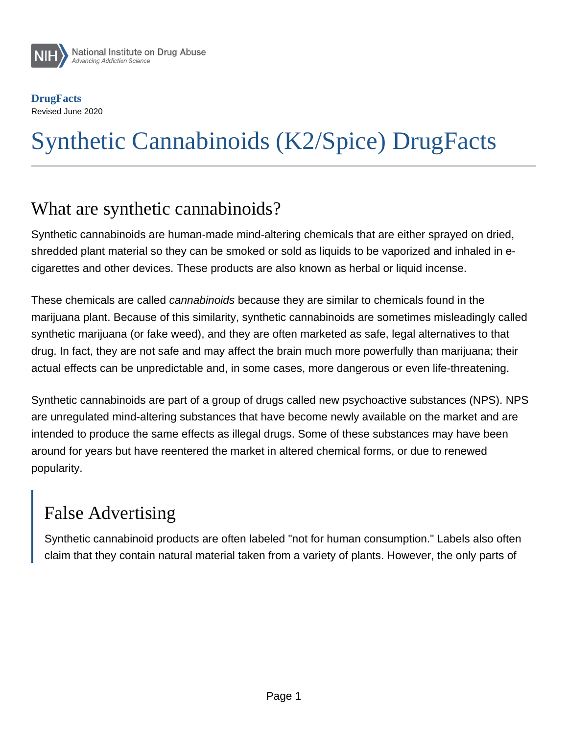

**DrugFacts** Revised June 2020

# Synthetic Cannabinoids (K2/Spice) DrugFacts

#### What are synthetic cannabinoids?

Synthetic cannabinoids are human-made mind-altering chemicals that are either sprayed on dried, shredded plant material so they can be smoked or sold as liquids to be vaporized and inhaled in ecigarettes and other devices. These products are also known as herbal or liquid incense.

These chemicals are called cannabinoids because they are similar to chemicals found in the marijuana plant. Because of this similarity, synthetic cannabinoids are sometimes misleadingly called synthetic marijuana (or fake weed), and they are often marketed as safe, legal alternatives to that drug. In fact, they are not safe and may affect the brain much more powerfully than marijuana; their actual effects can be unpredictable and, in some cases, more dangerous or even life-threatening.

Synthetic cannabinoids are part of a group of drugs called new psychoactive substances (NPS). NPS are unregulated mind-altering substances that have become newly available on the market and are intended to produce the same effects as illegal drugs. Some of these substances may have been around for years but have reentered the market in altered chemical forms, or due to renewed popularity.

# False Advertising

Synthetic cannabinoid products are often labeled "not for human consumption." Labels also often claim that they contain natural material taken from a variety of plants. However, the only parts of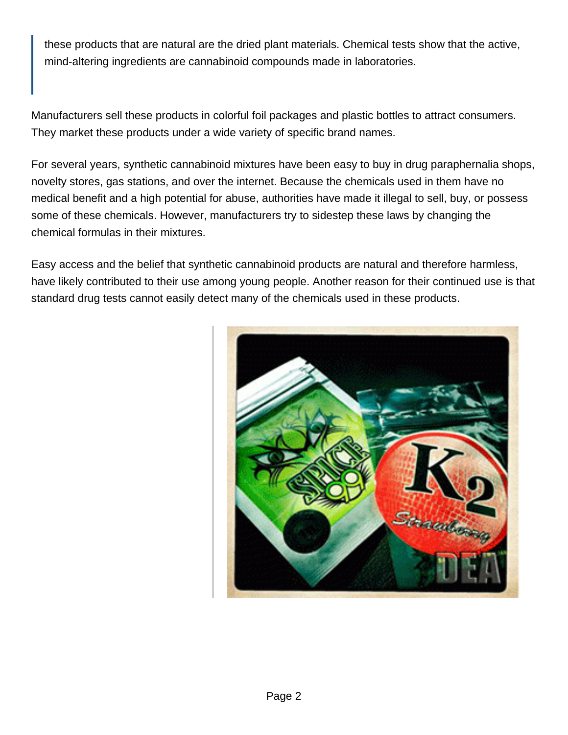these products that are natural are the dried plant materials. Chemical tests show that the active, mind-altering ingredients are cannabinoid compounds made in laboratories.

Manufacturers sell these products in colorful foil packages and plastic bottles to attract consumers. They market these products under a wide variety of specific brand names.

For several years, synthetic cannabinoid mixtures have been easy to buy in drug paraphernalia shops, novelty stores, gas stations, and over the internet. Because the chemicals used in them have no medical benefit and a high potential for abuse, authorities have made it illegal to sell, buy, or possess some of these chemicals. However, manufacturers try to sidestep these laws by changing the chemical formulas in their mixtures.

Easy access and the belief that synthetic cannabinoid products are natural and therefore harmless, have likely contributed to their use among young people. Another reason for their continued use is that standard drug tests cannot easily detect many of the chemicals used in these products.

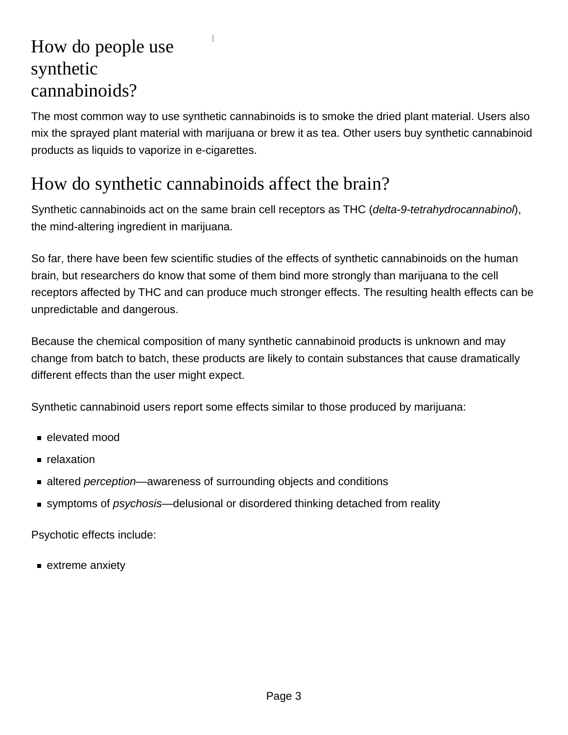# How do people use synthetic cannabinoids?

The most common way to use synthetic cannabinoids is to smoke the dried plant material. Users also mix the sprayed plant material with marijuana or brew it as tea. Other users buy synthetic cannabinoid products as liquids to vaporize in e-cigarettes.

### How do synthetic cannabinoids affect the brain?

Synthetic cannabinoids act on the same brain cell receptors as THC (delta-9-tetrahydrocannabinol), the mind-altering ingredient in marijuana.

So far, there have been few scientific studies of the effects of synthetic cannabinoids on the human brain, but researchers do know that some of them bind more strongly than marijuana to the cell receptors affected by THC and can produce much stronger effects. The resulting health effects can be unpredictable and dangerous.

Because the chemical composition of many synthetic cannabinoid products is unknown and may change from batch to batch, these products are likely to contain substances that cause dramatically different effects than the user might expect.

Synthetic cannabinoid users report some effects similar to those produced by marijuana:

- elevated mood
- **relaxation**
- altered *perception*—awareness of surrounding objects and conditions
- **symptoms of psychosis—delusional or disordered thinking detached from reality**

Psychotic effects include:

**Extreme anxiety**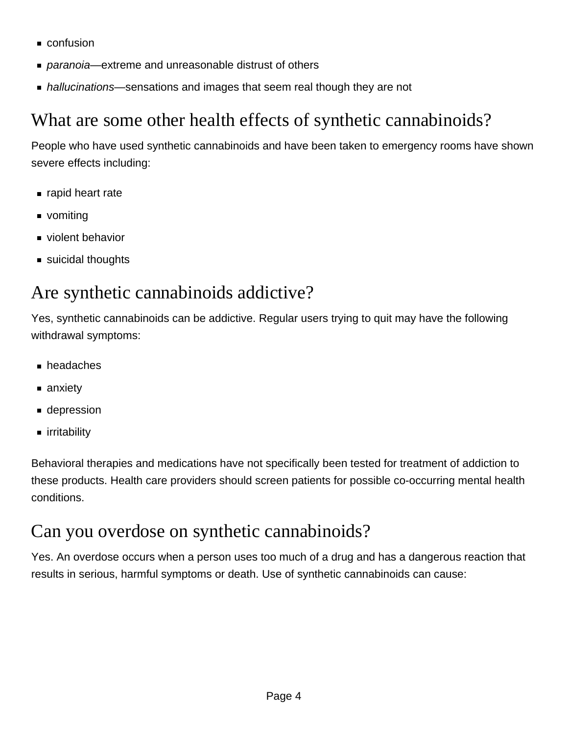- confusion
- *paranoia*—extreme and unreasonable distrust of others
- hallucinations—sensations and images that seem real though they are not

# What are some other health effects of synthetic cannabinoids?

People who have used synthetic cannabinoids and have been taken to emergency rooms have shown severe effects including:

- napid heart rate
- vomiting
- violent behavior
- suicidal thoughts

### Are synthetic cannabinoids addictive?

Yes, synthetic cannabinoids can be addictive. Regular users trying to quit may have the following withdrawal symptoms:

- headaches
- anxiety
- depression
- irritability

Behavioral therapies and medications have not specifically been tested for treatment of addiction to these products. Health care providers should screen patients for possible co-occurring mental health conditions.

#### Can you overdose on synthetic cannabinoids?

Yes. An overdose occurs when a person uses too much of a drug and has a dangerous reaction that results in serious, harmful symptoms or death. Use of synthetic cannabinoids can cause: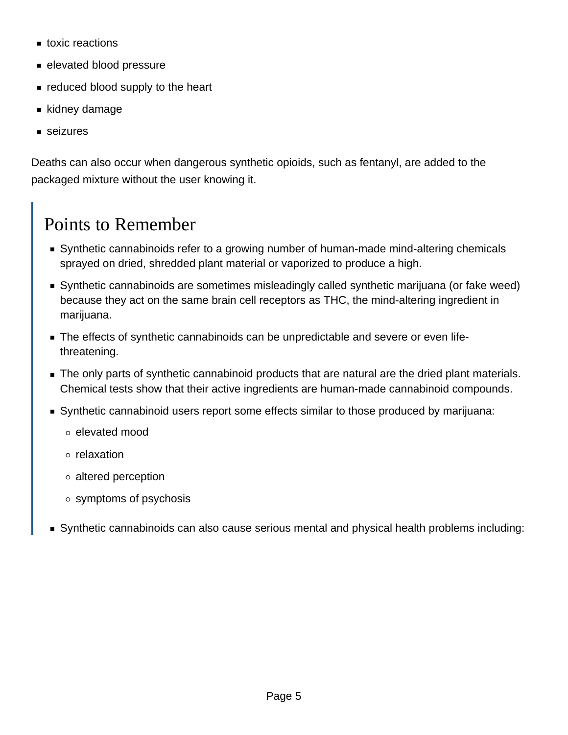- toxic reactions
- elevated blood pressure
- reduced blood supply to the heart
- kidney damage
- seizures

Deaths can also occur when dangerous synthetic opioids, such as fentanyl, are added to the packaged mixture without the user knowing it.

# Points to Remember

- Synthetic cannabinoids refer to a growing number of human-made mind-altering chemicals sprayed on dried, shredded plant material or vaporized to produce a high.
- Synthetic cannabinoids are sometimes misleadingly called synthetic marijuana (or fake weed) because they act on the same brain cell receptors as THC, the mind-altering ingredient in marijuana.
- The effects of synthetic cannabinoids can be unpredictable and severe or even lifethreatening.
- The only parts of synthetic cannabinoid products that are natural are the dried plant materials. Chemical tests show that their active ingredients are human-made cannabinoid compounds.
- Synthetic cannabinoid users report some effects similar to those produced by marijuana:
	- elevated mood
	- relaxation
	- altered perception
	- symptoms of psychosis
- Synthetic cannabinoids can also cause serious mental and physical health problems including: